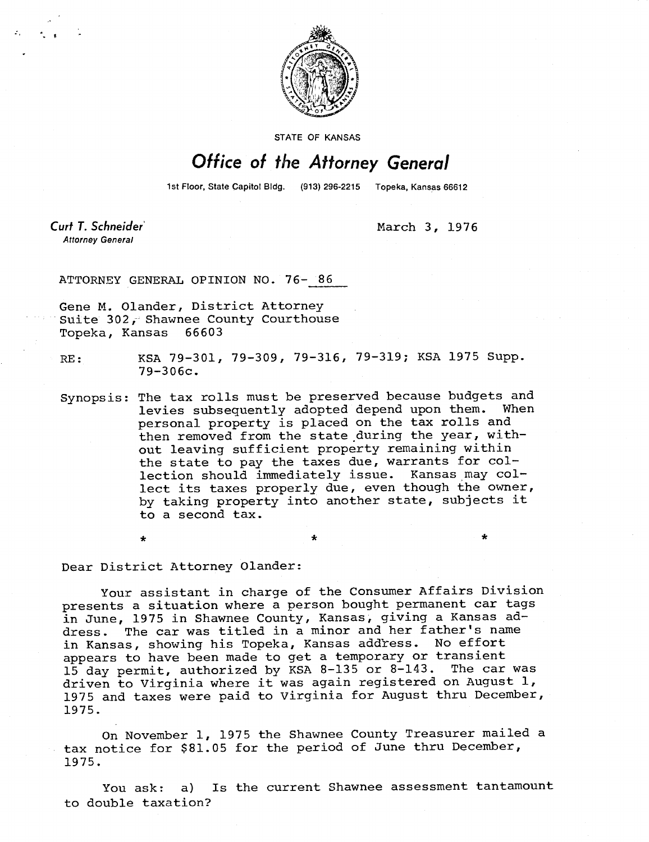

STATE OF KANSAS

## Office of the Attorney General

1st Floor, State Capitol Bldg. (913) 296-2215 Topeka, Kansas 66612

Curt T. Schneider **Attorney General** 

March 3, 1976

ATTORNEY GENERAL OPINION NO. 76- 86

Gene M. Olander, District Attorney Suite 302, Shawnee County Courthouse Topeka, Kansas 66603

RE: KSA 79-301, 79-309, 79-316, 79-319; KSA 1975 Supp. 79-306c.

Synopsis: The tax rolls must be preserved because budgets and<br>levies subsequently adopted depend upon them. When levies subsequently adopted depend upon them. personal property is placed on the tax rolls and then removed from the state during the year, without leaving sufficient property remaining within the state to pay the taxes due, warrants for collection should immediately issue. Kansas may collect its taxes properly due, even though the owner, by taking property into another state, subjects it to a second tax.

Dear District Attorney Olander:

Your assistant in charge of the Consumer Affairs Division presents a situation where a person bought permanent car tags in June, 1975 in Shawnee County, Kansas, giving a Kansas address. The car was titled in a minor and her father's name in Kansas, showing his Topeka, Kansas address. No effort appears to have been made to get a temporary or transient<br>15 day permit, authorized by KSA 8-135 or 8-143. The car was  $15$  day permit, authorized by KSA 8-135 or 8-143. driven to Virginia where it was again registered on August 1, 1975 and taxes were paid to Virginia for August thru December, 1975.

On November 1, 1975 the Shawnee County Treasurer mailed a tax notice for \$81.05 for the period of June thru December, 1975.

You ask: a) Is the current Shawnee assessment tantamount to double taxation?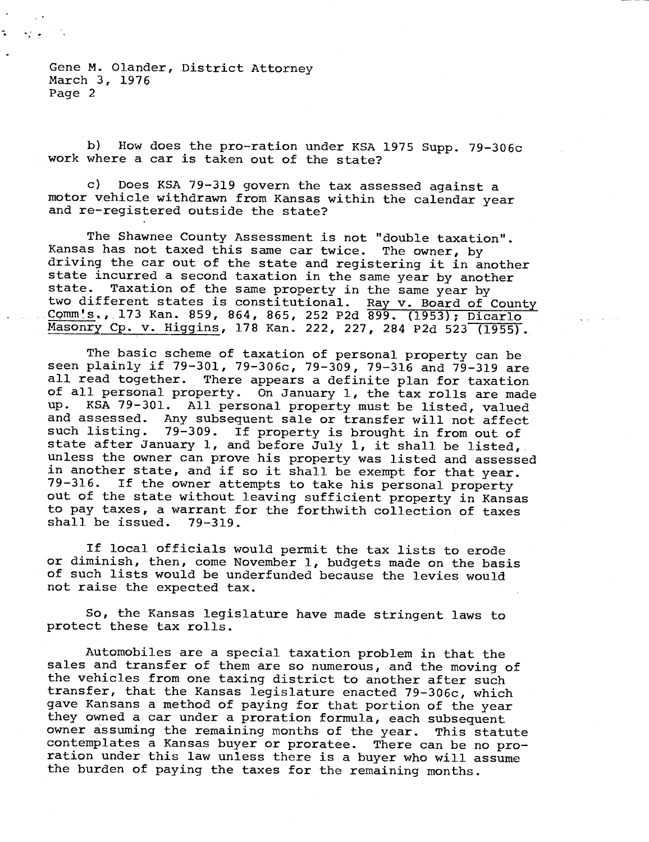Gene M. Olander, District Attorney March 3, 1976 Page 2

nti le

b) How does the pro-ration under KSA 1975 Supp. 79-306c work where a car is taken out of the state?

c) Does KSA 79-319 govern the tax assessed against a motor vehicle withdrawn from Kansas within the calendar year and re-registered outside the state?

The Shawnee County Assessment is not "double taxation". Kansas has not taxed this same car twice. The owner, by driving the car out of the state and registering it in another state incurred a second taxation in the same year by another<br>state. Taxation of the same property in the same year by Taxation of the same property in the same year by two different states is constitutional. Ray v. Board of County Comm's., 173 Kan. 859, 864, 865, 252 P2d 899. (1953); Dicarlo. Masonry Cp. v. Higgins, 178 Kan. 222, 227, 284 P2d 523 (1955).

The basic scheme of taxation of personal property can be seen plainly if 79-301, 79-306c, 79-309, 79-316 and 79-319 are all read together. There appears a definite plan for taxation of all personal property. On January 1, the tax rolls are made<br>up. KSA 79-301. All personal property must be listed valued up. KSA 79-301. All personal property must be listed, valued<br>and assessed. Any subsequent sale or transfer will not affect and assessed. Any subsequent sale or transfer will not affect 79-309. If property is brought in from out of state after January 1, and before July 1, it shall be listed, unless the owner can prove his property was listed and assessed in another state, and if so it shall be exempt for that year. 79-316. If the owner attempts to take his personal property out of the state without leaving sufficient property in Kansas to pay taxes, a warrant for the forthwith collection of taxes shall be issued. 79-319.

If local officials would permit the tax lists to erode or diminish, then, come November 1, budgets made on the basis of such lists would be underfunded because the levies would not raise the expected tax.

So, the Kansas legislature have made stringent laws to protect these tax rolls.

Automobiles are a special taxation problem in that the sales and transfer of them are so numerous, and the moving of the vehicles from one taxing district to another after such transfer, that the Kansas legislature enacted 79-306c, which gave Kansans a method of paying for that portion of the year they owned a car under a proration formula, each subsequent owner assuming the remaining months of the year. This statute contemplates a Kansas buyer or proratee. There can be no proration under this law unless there is a buyer who will assume the burden of paying the taxes for the remaining months.